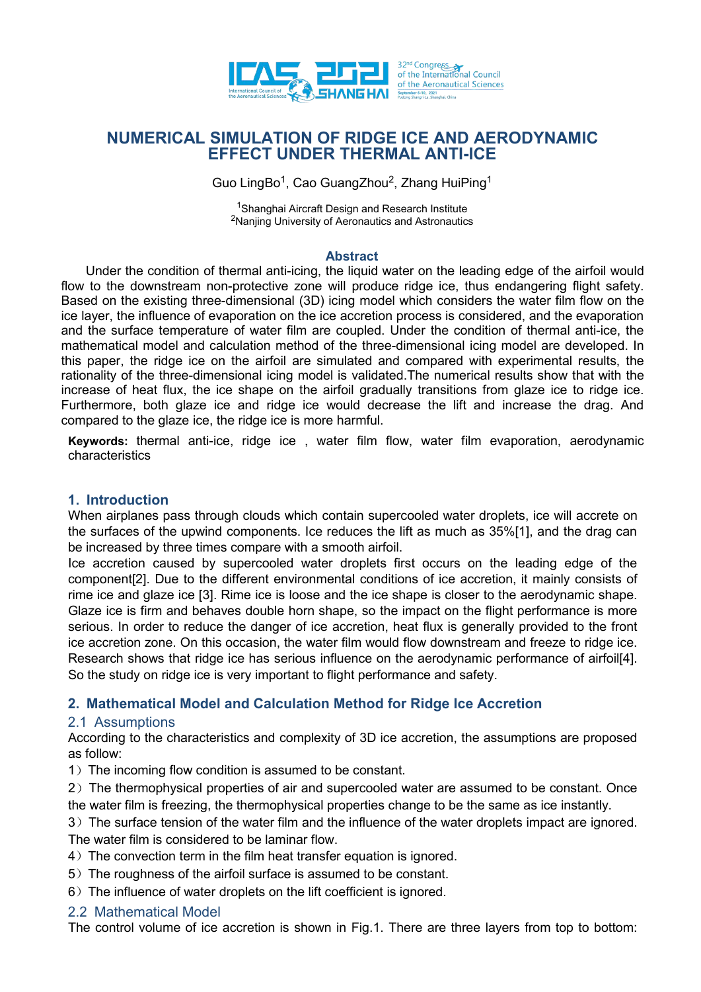

# **NUMERICAL SIMULATION OF RIDGE ICE AND AERODYNAMIC EFFECT UNDER THERMAL ANTI-ICE**

Guo LingBo<sup>1</sup>, Cao GuangZhou<sup>2</sup>, Zhang HuiPing<sup>1</sup>  $1$ 

<sup>1</sup>Shanghai Aircraft Design and Research Institute <sup>2</sup>Nanjing University of Aeronautics and Astronautics

### **Abstract**

Under the condition of thermal anti-icing, the liquid water on the leading edge of the airfoil would flow to the downstream non-protective zone will produce ridge ice, thus endangering flight safety. Based on the existing three-dimensional (3D) icing model which considers the water film flowon the ice layer, the influence of evaporation on the ice accretion process is considered, and the evaporation and the surface temperature of water film are coupled. Under the condition of thermal anti-ice, the mathematical model and calculation method of the three-dimensional icing model are developed. In this paper, the ridge ice on the airfoil are simulated and compared with experimental results, the rationality of the three-dimensional icing model is validated.The numerical results show that with the increase of heat flux, the ice shape on the airfoil gradually transitions from glaze ice to ridge ice. Furthermore, both glaze ice and ridge ice would decrease the lift and increase the drag. And compared to the glaze ice, the ridge ice is more harmful.

**Keywords:** thermal anti-ice, ridge ice , water film flow, water film evaporation, aerodynamic characteristics

### **1. Introduction**

When airplanes pass through clouds which contain supercooled water droplets, ice will accrete on the surfaces of the upwind components. Ice reduces the lift as much as 35%[1], and the drag can be increased by three times compare with a smooth airfoil.

Ice accretion caused by supercooled water droplets first occurs on the leading edge of the component[2]. Due to the different environmental conditions of ice accretion, it mainly consists of rime ice and glaze ice [3]. Rime ice is loose and the ice shape is closer to the aerodynamic shape. Glaze ice is firm and behaves double horn shape, so the impact on the flight performance is more serious. In order to reduce the danger of ice accretion, heat flux is generally provided to the front ice accretion zone. On this occasion, the water film would flow downstream and freeze to ridge ice.<br>Research shows that ridge ice has serious influence on the aerodynamic performance of airfoil[4].<br>So the study on ridge ic

# **2. Mathematical Model and Calculation Method for Ridge Ice Accretion**

### 2.1 Assumptions

According to the characteristics and complexity of 3D ice accretion, the assumptions are proposed as follow:

1) The incoming flow condition is assumed to be constant.

2) The thermophysical properties of air and supercooled water are assumed to be constant. Once the water film is freezing, the thermophysical properties change to be the same as ice instantly.

3)The surface tension of the water film and the influence of the water droplets impact are ignored. The water film is considered to be laminar flow.

- 4) The convection term in the film heat transfer equation is ignored.
- 5) The roughness of the airfoil surface is assumed to be constant.
- 6) The influence of water droplets on the lift coefficient is ignored.

### 2.2 Mathematical Model

The control volume of ice accretion is shown in Fig.1. There are three layers from top to bottom: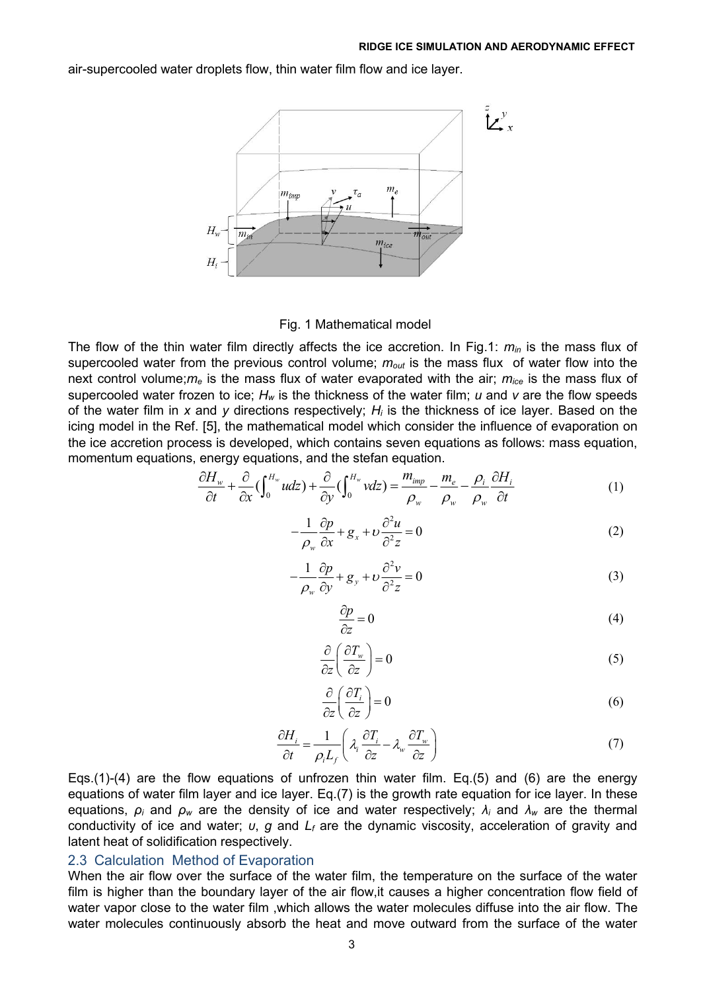air-supercooled water droplets flow, thin water film flowand ice layer.



Fig. 1 Mathematical model

The flow of the thin water film directly affects the ice accretion. In Fig.1: *min* is the mass flux of supercooled water from the previous control volume; *mout* is the mass flux of water flow into the next control volume;*m<sup>e</sup>* is the mass flux of water evaporated with the air; *mice* is the mass flux of supercooled water frozen to ice; *H<sup>w</sup>* is the thickness of the water film; *u* and *v* are the flow speeds of the water film in *x* and *y* directions respectively; *H<sup>i</sup>* is the thickness of ice layer. Based on the icing model in the Ref. [5], the mathematical model which consider the influence of evaporation on the ice accretion process is developed, which contains seven equations as follows: mass equation, momentum equations, energy equations, and the stefan equation.

$$
\frac{\partial H_w}{\partial t} + \frac{\partial}{\partial x} \left( \int_0^{H_w} u dz \right) + \frac{\partial}{\partial y} \left( \int_0^{H_w} v dz \right) = \frac{m_{imp}}{\rho_w} - \frac{m_e}{\rho_w} - \frac{\rho_i}{\rho_w} \frac{\partial H_i}{\partial t} \tag{1}
$$

$$
-\frac{1}{\rho_w} \frac{\partial p}{\partial x} + g_x + v \frac{\partial^2 u}{\partial^2 z} = 0
$$
 (2)

$$
-\frac{1}{\rho_w} \frac{\partial p}{\partial y} + g_y + v \frac{\partial^2 v}{\partial^2 z} = 0
$$
 (3)

$$
\frac{\partial p}{\partial z} = 0\tag{4}
$$

$$
\frac{\partial}{\partial z} \left( \frac{\partial T_w}{\partial z} \right) = 0 \tag{5}
$$

$$
\frac{\partial}{\partial z} \left( \frac{\partial T_i}{\partial z} \right) = 0 \tag{6}
$$

$$
\frac{\partial H_i}{\partial t} = \frac{1}{\rho_i L_f} \left( \lambda_i \frac{\partial T_i}{\partial z} - \lambda_w \frac{\partial T_w}{\partial z} \right) \tag{7}
$$

Eqs.(1)-(4) are the flow equations of unfrozen thin water film. Eq.(5) and (6) are the energy equations of water film layer and ice layer. Eq.(7) is the growth rate equation for ice layer. In these equations, *ρ<sup>i</sup>* and *ρ<sup>w</sup>* are the density of ice and water respectively; *λ<sup>i</sup>* and *λ<sup>w</sup>* are the thermal conductivity of ice and water; *υ*, *g* and *L<sup>f</sup>* are the dynamic viscosity, acceleration of gravity and latent heat of solidification respectively.

### 2.3 Calculation Method of Evaporation

When the air flow over the surface of the water film, the temperature on the surface of the water film is higher than the boundary layer of the air flow, it causes a higher concentration flow field of water vapor close to the water film ,which allows the water molecules diffuse into the air flow. The water molecules continuously absorb the heat and move outward from the surface of the water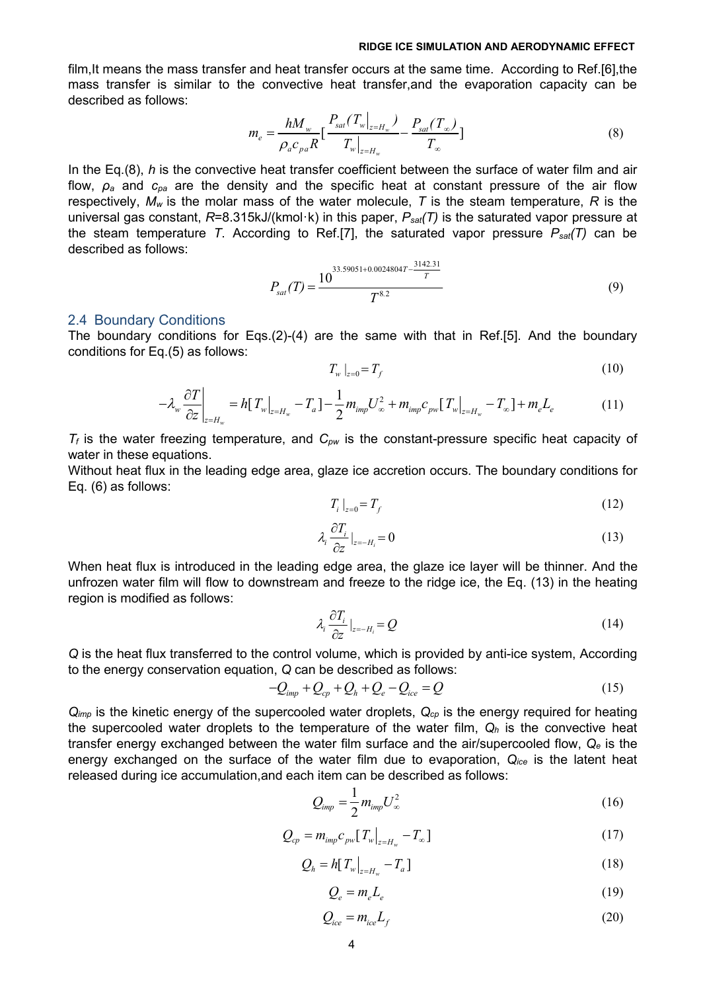film,It means the mass transfer and heat transfer occurs at the same time. According to Ref.[6],the mass transfer is similar to the convective heat transfer,and the evaporation capacity can be described as follows:

$$
m_e = \frac{hM_w}{\rho_a c_{pa} R} \left[ \frac{P_{sat}(T_w|_{z=H_w})}{T_w|_{z=H_w}} - \frac{P_{sat}(T_\infty)}{T_\infty} \right]
$$
(8)

In the Eq.(8), *h* is the convective heat transfer coefficient between the surface of water film and air flow, *ρ<sup>a</sup>* and *cpa* are the density and the specific heat at constant pressure of the air flow respectively, *M<sup>w</sup>* is the molar mass of the water molecule, *T* is the steam temperature, *R* is the universal gas constant, *R*=8.315kJ/(kmol·k) in this paper, *Psat(T)* is the saturated vapor pressure at the steam temperature *T*. According to Ref.[7], the saturated vapor pressure *Psat(T)* can be described as follows:

$$
P_{sat}(T) = \frac{10^{33.59051 + 0.0024804T - \frac{3142.31}{T}}}{T^{8.2}}
$$
(9)

#### 2.4 Boundary Conditions

The boundary conditions for Eqs.(2)-(4) are the same with that in Ref.[5]. And the boundary conditions for Eq.(5) as follows:

$$
T_w\left|_{z=0} = T_f\right.\tag{10}
$$

$$
-\lambda_{w} \frac{\partial T}{\partial z}\bigg|_{z=H_{w}} = h[T_{w}|_{z=H_{w}} - T_{a}] - \frac{1}{2} m_{imp} U_{\infty}^{2} + m_{imp} c_{pw} [T_{w}|_{z=H_{w}} - T_{\infty}] + m_{e} L_{e}
$$
(11)

*T<sup>f</sup>* is the water freezing temperature, and *Cpw* is the constant-pressure specific heat capacity of water in these equations.

Without heat flux in the leading edge area, glaze ice accretion occurs. The boundary conditions for Eq. (6) as follows:

$$
T_i \mid_{z=0} = T_f \tag{12}
$$

$$
\lambda_i \frac{\partial T_i}{\partial z} \big|_{z = -H_i} = 0 \tag{13}
$$

When heat flux is introduced in the leading edge area, the glaze ice layer will be thinner. And the unfrozen water film will flow to downstream and freeze to the ridge ice, the Eq. (13) in the heating region is modified as follows:

$$
\lambda_i \frac{\partial T_i}{\partial z} \big|_{z = -H_i} = Q \tag{14}
$$

*Q* is the heat flux transferred to the control volume, which is provided by anti-ice system, According to the energy conservation equation, *Q* can be described as follows:

$$
-Q_{\text{imp}} + Q_{\text{cp}} + Q_h + Q_e - Q_{\text{ice}} = Q \tag{15}
$$

*Qimp* is the kinetic energy of the supercooled water droplets, *Qcp* is the energy required for heating the supercooled water droplets to the temperature of the water film, *Q<sup>h</sup>* is the convective heat transfer energy exchanged between the water film surface and the air/supercooled flow, *Q<sup>e</sup>* is the energy exchanged on the surface of the water film due to evaporation, *Qice* is the latent heat released during ice accumulation,and each item can be described as follows:

$$
Q_{\text{imp}} = \frac{1}{2} m_{\text{imp}} U_{\infty}^2 \tag{16}
$$

$$
Q_{cp} = m_{imp} c_{pw} [T_w|_{z=H_w} - T_{\infty}]
$$
\n(17)

$$
Q_h = h[T_w|_{z=H_w} - T_a]
$$
\n(18)

$$
Q_e = m_e L_e \tag{19}
$$

$$
Q_{ice} = m_{ice} L_f \tag{20}
$$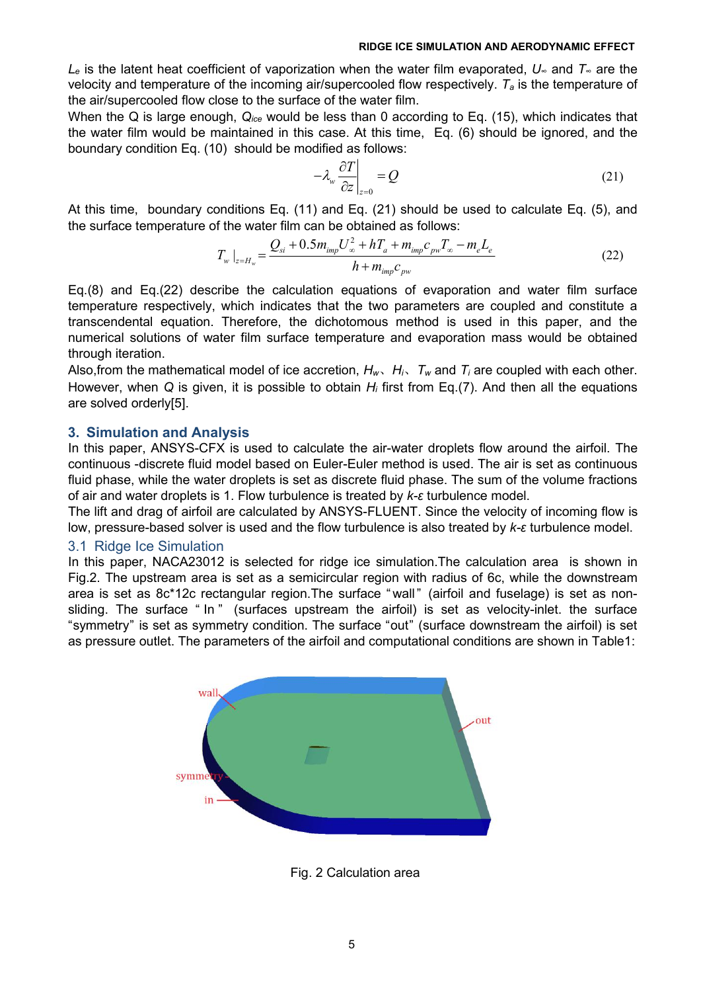*L<sup>e</sup>* is the latent heat coefficient of vaporization when the water film evaporated, *U<sup>∞</sup>* and *T<sup>∞</sup>* are the velocity and temperature of the incoming air/supercooled flow respectively. *T<sup>a</sup>* is the temperature of the air/supercooled flow close to the surface of the water film.

When the Q is large enough, *Qice* would be less than 0 according to Eq. (15), which indicates that the water film would be maintained in this case. At this time, Eq. (6) should be ignored, and the boundary condition Eq. (10) should be modified as follows:

$$
-\lambda_{w} \frac{\partial T}{\partial z}\bigg|_{z=0} = Q \tag{21}
$$

At this time, boundary conditions Eq. (11) and Eq. (21) should be used to calculate Eq. (5), and the surface temperature of the water film can be obtained as follows:

$$
T_{w}|_{z=H_{w}} = \frac{Q_{si} + 0.5m_{imp}U_{\infty}^{2} + hT_{a} + m_{imp}c_{pw}T_{\infty} - m_{e}L_{e}}{h + m_{imp}c_{pw}}
$$
(22)

Eq.(8) and Eq.(22) describe the calculation equations of evaporation and water film surface temperature respectively, which indicates that the two parameters are coupled and constitute a transcendental equation. Therefore, the dichotomous method is used in this paper, and the numerical solutions of water film surface temperature and evaporation mass would be obtained through iteration.

Also, from the mathematical model of ice accretion,  $H_w$ ,  $H_i$ ,  $T_w$  and  $T_i$  are coupled with each other.<br>However, when Q is given, it is possible to obtain  $H_i$  first from Eq.(7). And then all the equations are solved orderly[5].

### **3. Simulation and Analysis**

In this paper, ANSYS-CFX is used to calculate the air-water droplets flow around the airfoil. The continuous -discrete fluid model based on Euler-Euler method is used. The air is set as continuous fluid phase, while the water droplets is set as discrete fluid phase. The sum of the volume fractions of air and water droplets is 1. Flow turbulence istreated by *k-ε* turbulence model.

The lift and drag of airfoil are calculated by ANSYS-FLUENT. Since the velocity of incoming flow is low, pressure-based solver is used and the flow turbulence is also treated by *k-ε* turbulence model.

### 3.1 Ridge Ice Simulation

In this paper, NACA23012 is selected for ridge ice simulation.The calculation area is shown in Fig.2. The upstream area is set as a semicircular region with radius of 6c, while the downstream area is set as 8c\*12c rectangular region. The surface "wall" (airfoil and fuselage) is set as nonsliding. The surface " In " (surfaces upstream the airfoil) is set as velocity-inlet. the surface "symmetry" is set as symmetry condition. The surface "out" (surface downstream the airfoil) is set as pressure outlet. The parameters of the airfoil and computational conditions are shown in Table1:



Fig. 2 Calculation area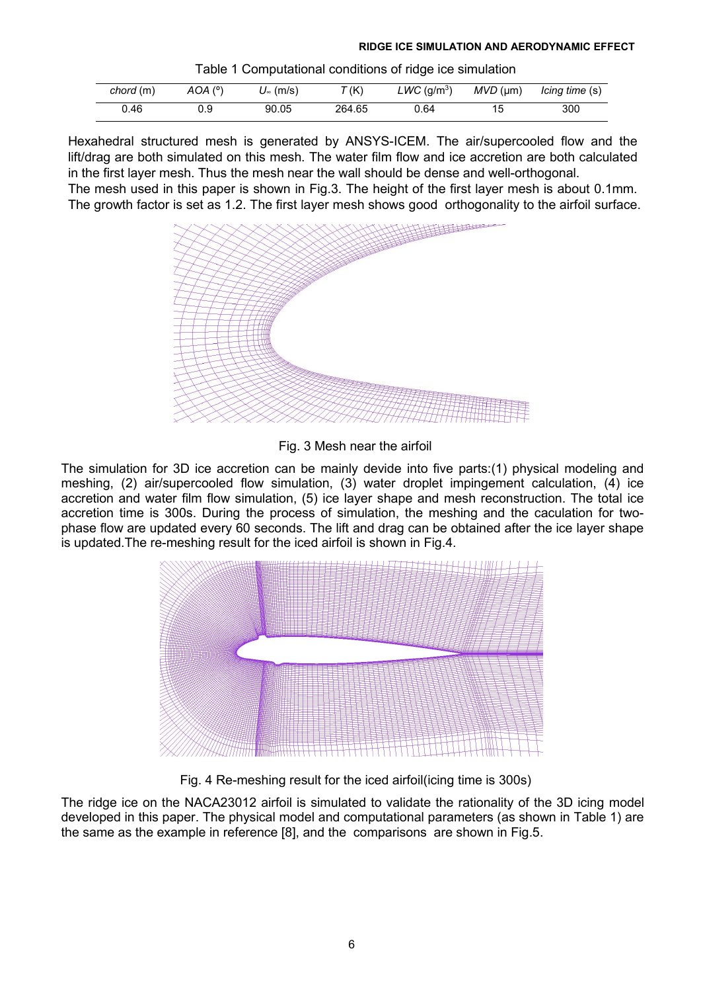Table 1 Computational conditions of ridge ice simulation

| chord (m) | $AOA(^{o}$ | (m/s'<br>◡ | T(K)   | $LWC$ (g/m <sup>3</sup> ) | $MVD$ (µm) | Icing time (s) |
|-----------|------------|------------|--------|---------------------------|------------|----------------|
| 0.46      |            | 90.05      | 264.65 | , 64                      |            | 300            |

Hexahedral structured mesh is generated by ANSYS-ICEM. The air/supercooled flow and the lift/drag are both simulated on this mesh. The water film flow and ice accretion are both calculated in the first layer mesh. Thus the mesh near the wall should be dense and well-orthogonal. The mesh used in this paper is shown in Fig.3. The height of the first layer mesh is about 0.1mm. The growth factor is set as 1.2. The first layer mesh shows good orthogonality to the airfoil surface.



Fig. 3 Mesh near the airfoil

The simulation for 3D ice accretion can be mainly devide into five parts:(1) physical modeling and meshing, (2) air/supercooled flow simulation, (3) water droplet impingement calculation, (4) ice accretion and water film flow simulation, (5) ice layer shape and mesh reconstruction. The total ice accretion time is 300s. During the process of simulation, the meshing and the caculation for two phase flow are updated every 60 seconds. The lift and drag can be obtained after the ice layer shape is updated.The re-meshing result for the iced airfoil is shown in Fig.4.



Fig. 4 Re-meshing result for the iced airfoil(icing time is 300s)

The ridge ice on the NACA23012 airfoil is simulated to validate the rationality of the 3D icing model developed in this paper. The physical model and computational parameters (as shown in Table 1) are the same as the example in reference [8], and the comparisons are shown in Fig.5.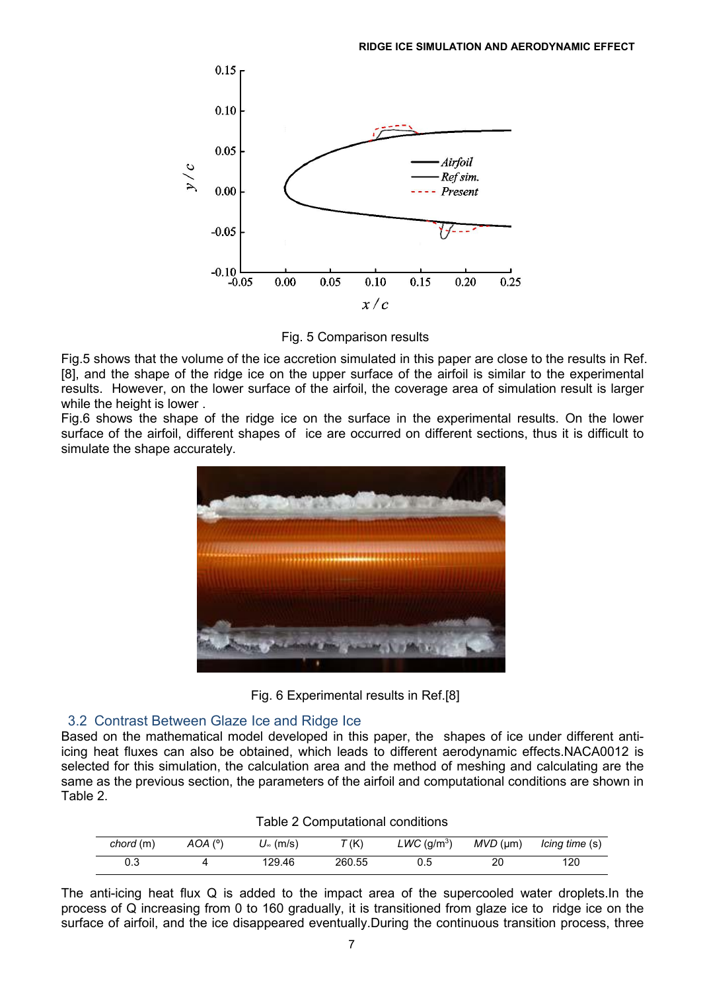

Fig. 5 Comparison results

Fig.5 shows that the volume of the ice accretion simulated in this paper are close to the results in Ref. [8], and the shape of the ridge ice on the upper surface of the airfoil is similar to the experimental results. However, on the lower surface of the airfoil, the coverage area of simulation result is larger while the height is lower .

Fig.6 shows the shape of the ridge ice on the surface in the experimental results. On the lower surface of the airfoil, different shapes of ice are occurred on different sections, thus it is difficult to simulate the shape accurately.





# 3.2 Contrast Between Glaze Ice and Ridge Ice

Based on the mathematical model developed in this paper, the shapes of ice under different antiicing heat fluxes can also be obtained, which leads to different aerodynamic effects.NACA0012 is selected for this simulation, the calculation area and the method of meshing and calculating are the same as the previous section, the parameters of the airfoil and computational conditions are shown in Table 2.

| chord (m) | $AOA(^{\circ})$ | $U_{\infty}$ (m/s) | T(K)   | $LWC~(\rm g/m^3)$ |    | MVD (µm) lcing time (s) |
|-----------|-----------------|--------------------|--------|-------------------|----|-------------------------|
|           |                 | 29.46              | 260.55 |                   | 20 | 120                     |

Table 2 Computational conditions

The anti-icing heat flux Q is added to the impact area of the supercooled water droplets.In the process of Q increasing from 0 to 160 gradually, it is transitioned from glaze ice to ridge ice on the surface of airfoil, and the ice disappeared eventually.During the continuous transition process, three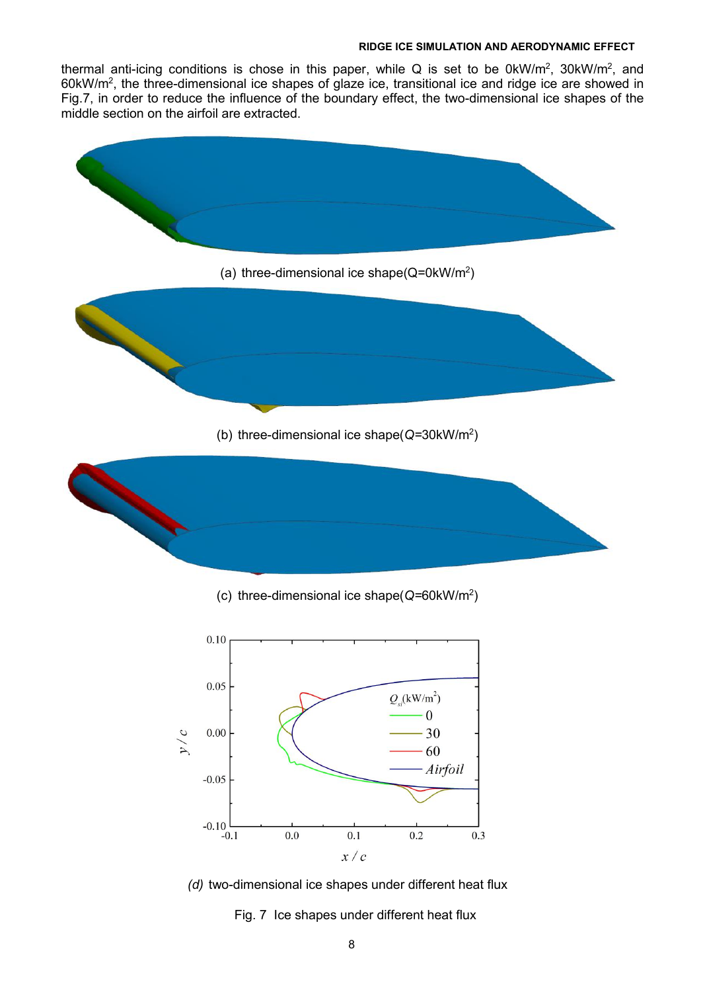thermal anti-icing conditions is chose in this paper, while Q is set to be 0kW/m<sup>2</sup>, 30kW/m<sup>2</sup>, and 60kW/m<sup>2</sup> , the three-dimensional ice shapes of glaze ice, transitional ice and ridge ice are showed in Fig.7, in order to reduce the influence of the boundary effect, the two-dimensional ice shapes of the middle section on the airfoil are extracted.



(c) three-dimensional ice shape(*Q=*60kW/m<sup>2</sup> )



*(d)* two-dimensional ice shapes under different heat flux

Fig. 7 Ice shapes under different heat flux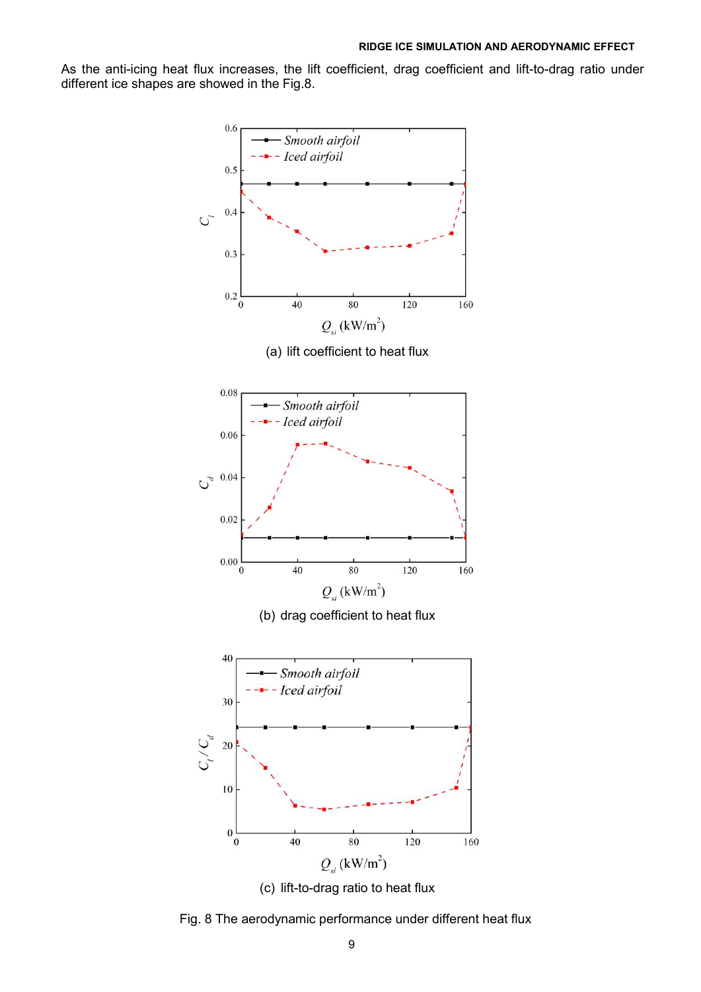As the anti-icing heat flux increases, the lift coefficient, drag coefficient and lift-to-drag ratio under different ice shapes are showed in the Fig.8.



(c) lift-to-drag ratio to heat flux

Fig. 8 The aerodynamic performance under different heat flux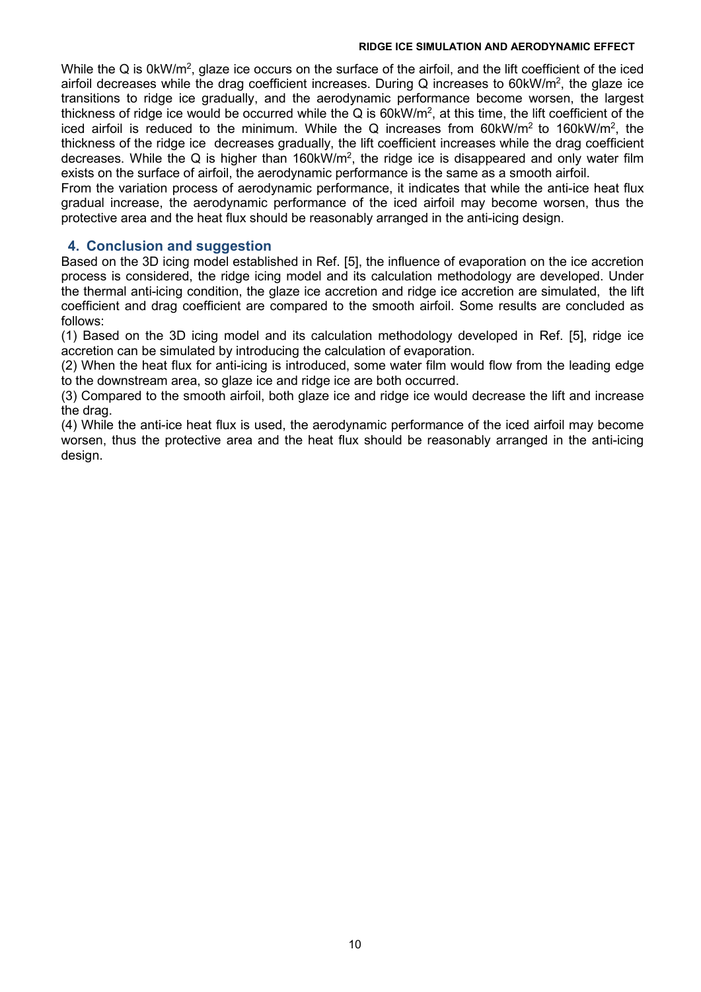While the Q is 0kW/m<sup>2</sup>, glaze ice occurs on the surface of the airfoil, and the lift coefficient of the iced airfoil decreases while the drag coefficient increases. During Q increases to 60kW/m², the glaze ice transitions to ridge ice gradually, and the aerodynamic performance become worsen, the largest thickness of ridge ice would be occurred while the Q is 60kW/m<sup>2</sup>, at this time, the lift coefficient of the iced airfoil is reduced to the minimum. While the Q increases from 60kW/m<sup>2</sup> to 160kW/m<sup>2</sup>, the thickness of the ridge ice decreases gradually, the lift coefficient increases while the drag coefficient decreases. While the Q is higher than 160kW/m<sup>2</sup>, the ridge ice is disappeared and only water film exists on the surface of airfoil, the aerodynamic performance is the same as a smooth airfoil.

From the variation process of aerodynamic performance, it indicates that while the anti-ice heat flux gradual increase, the aerodynamic performance of the iced airfoil may become worsen, thus the protective area and the heat flux should be reasonably arranged in the anti-icing design.

### **4. Conclusion and suggestion**

Based on the 3D icing model established in Ref. [5], the influence of evaporation on the ice accretion process is considered, the ridge icing model and its calculation methodology are developed. Under the thermal anti-icing condition, the glaze ice accretion and ridge ice accretion are simulated, the lift coefficient and drag coefficient are compared to the smooth airfoil. Some results are concluded as follows:

(1) Based on the 3D icing model and its calculation methodology developed in Ref. [5], ridge ice accretion can be simulated by introducing the calculation of evaporation.

(2) When the heat flux for anti-icing is introduced, some water film would flow from the leading edge to the downstream area, so glaze ice and ridge ice are both occurred.

(3) Compared to the smooth airfoil, both glaze ice and ridge ice would decrease the lift and increase the drag.

(4) While the anti-ice heat flux is used, the aerodynamic performance of the iced airfoil may become worsen, thus the protective area and the heat flux should be reasonably arranged in the anti-icing design.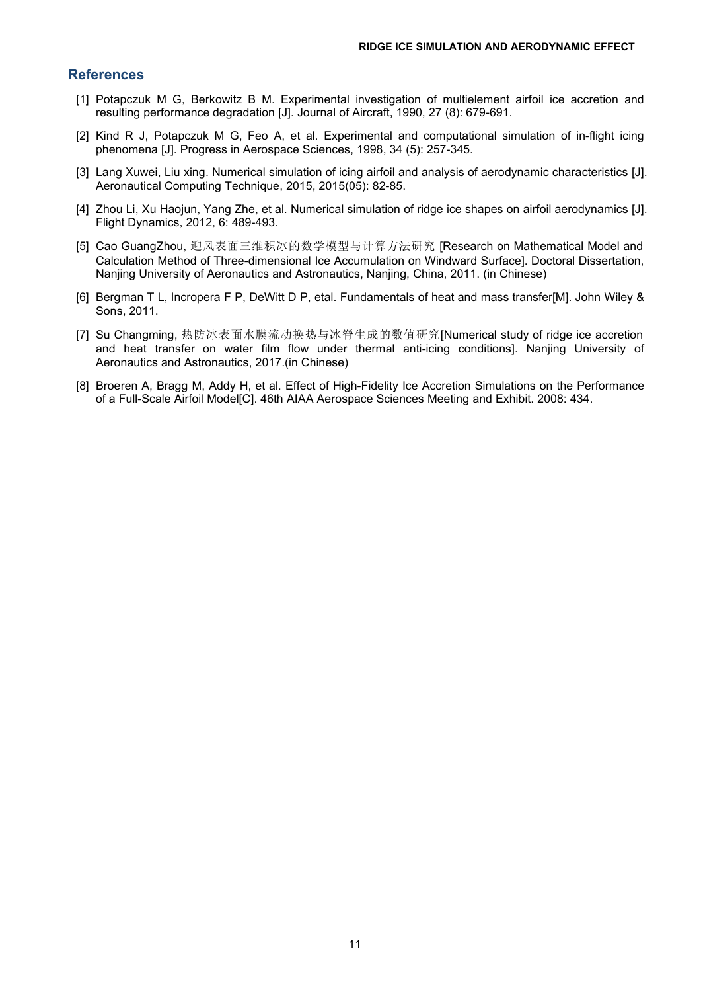### **References**

- [1] Potapczuk M G, Berkowitz B M. Experimental investigation of multielement airfoil ice accretion and resulting performance degradation [J]. Journal of Aircraft, 1990, 27 (8): 679-691.
- [2] Kind R J, Potapczuk M G, Feo A, et al. Experimental and computational simulation of in-flight icing phenomena [J]. Progress in Aerospace Sciences, 1998, 34 (5): 257-345.
- [3] Lang Xuwei, Liu xing. Numerical simulation of icing airfoil and analysis of aerodynamic characteristics [J]. Aeronautical Computing Technique,2015, 2015(05): 82-85.
- [4] Zhou Li, Xu Haojun, Yang Zhe, et al. Numerical simulation of ridge ice shapes on airfoil aerodynamics [J]. Flight Dynamics, 2012, 6: 489-493.
- [5] Cao GuangZhou, 迎风表面三维积冰的数学模型与计算方法研究 [Research on Mathematical Model and Calculation Method of Three-dimensional Ice Accumulation on Windward Surface]. Doctoral Dissertation, Nanjing University of Aeronautics and Astronautics, Nanjing, China, 2011. (in Chinese)
- [6] Bergman T L, Incropera F P, DeWitt D P, etal. Fundamentals of heat and mass transfer[M]. John Wiley & Sons, 2011.
- [7] Su Changming, 热防冰表面水膜流动换热与冰脊生成的数值研究[Numerical study of ridge ice accretion and heat transfer on water film flow under thermal anti-icing conditions]. Nanjing University of Aeronautics and Astronautics, 2017.(in Chinese)
- [8] Broeren A, Bragg M, Addy H, et al. Effect of High-Fidelity Ice Accretion Simulations on the Performance of a Full-Scale Airfoil Model[C]. 46th AIAA Aerospace Sciences Meeting and Exhibit. 2008: 434.